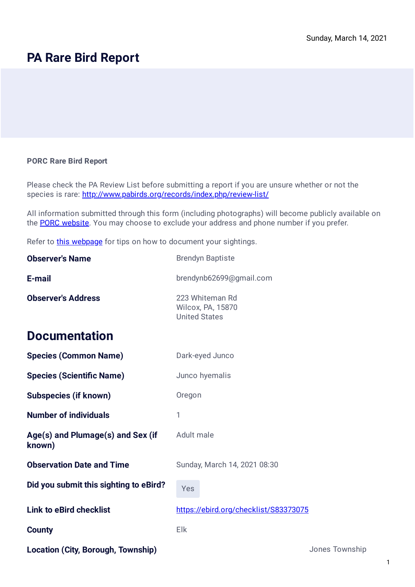## **PA Rare Bird Report**

## **PORC Rare Bird Report**

Please check the PA Review List before submitting a report if you are unsure whether or not the species is rare: <http://www.pabirds.org/records/index.php/review-list/>

All information submitted through this form (including photographs) will become publicly available on the [PORC website.](http://www.pabirds.org/records) You may choose to exclude your address and phone number if you prefer.

Refer to **this webpage** for tips on how to document your sightings.

| <b>Observer's Name</b>                      | <b>Brendyn Baptiste</b>                                      |                |
|---------------------------------------------|--------------------------------------------------------------|----------------|
| E-mail                                      | brendynb62699@gmail.com                                      |                |
| <b>Observer's Address</b>                   | 223 Whiteman Rd<br>Wilcox, PA, 15870<br><b>United States</b> |                |
| <b>Documentation</b>                        |                                                              |                |
| <b>Species (Common Name)</b>                | Dark-eyed Junco                                              |                |
| <b>Species (Scientific Name)</b>            | Junco hyemalis                                               |                |
| <b>Subspecies (if known)</b>                | Oregon                                                       |                |
| <b>Number of individuals</b>                | 1                                                            |                |
| Age(s) and Plumage(s) and Sex (if<br>known) | Adult male                                                   |                |
| <b>Observation Date and Time</b>            | Sunday, March 14, 2021 08:30                                 |                |
| Did you submit this sighting to eBird?      | Yes                                                          |                |
| <b>Link to eBird checklist</b>              | https://ebird.org/checklist/S83373075                        |                |
| <b>County</b>                               | Elk                                                          |                |
| <b>Location (City, Borough, Township)</b>   |                                                              | Jones Township |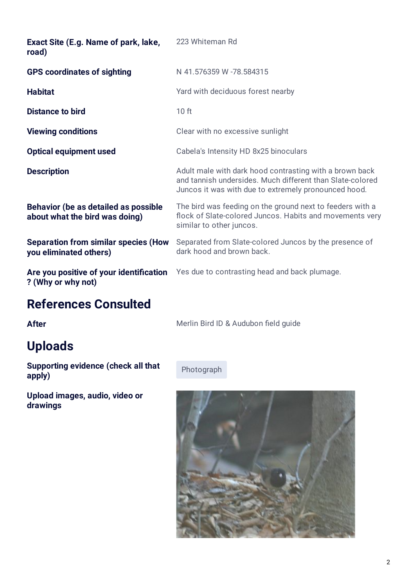| Exact Site (E.g. Name of park, lake,<br>road)                                 | 223 Whiteman Rd                                                                                                                                                              |
|-------------------------------------------------------------------------------|------------------------------------------------------------------------------------------------------------------------------------------------------------------------------|
| <b>GPS coordinates of sighting</b>                                            | N 41.576359 W -78.584315                                                                                                                                                     |
| <b>Habitat</b>                                                                | Yard with deciduous forest nearby                                                                                                                                            |
| <b>Distance to bird</b>                                                       | 10 <sub>ft</sub>                                                                                                                                                             |
| <b>Viewing conditions</b>                                                     | Clear with no excessive sunlight                                                                                                                                             |
| <b>Optical equipment used</b>                                                 | Cabela's Intensity HD 8x25 binoculars                                                                                                                                        |
| <b>Description</b>                                                            | Adult male with dark hood contrasting with a brown back<br>and tannish undersides. Much different than Slate-colored<br>Juncos it was with due to extremely pronounced hood. |
| <b>Behavior (be as detailed as possible</b><br>about what the bird was doing) | The bird was feeding on the ground next to feeders with a<br>flock of Slate-colored Juncos. Habits and movements very<br>similar to other juncos.                            |
| <b>Separation from similar species (How</b><br>you eliminated others)         | Separated from Slate-colored Juncos by the presence of<br>dark hood and brown back.                                                                                          |
| ? (Why or why not)                                                            | Are you positive of your identification Yes due to contrasting head and back plumage.                                                                                        |
|                                                                               |                                                                                                                                                                              |

## **References Consulted**

## **Uploads**

**Supporting evidence (check all that Photograph Prices)** 

**Upload images, audio, video or drawings**

**After** Merlin Bird ID & Audubon field guide